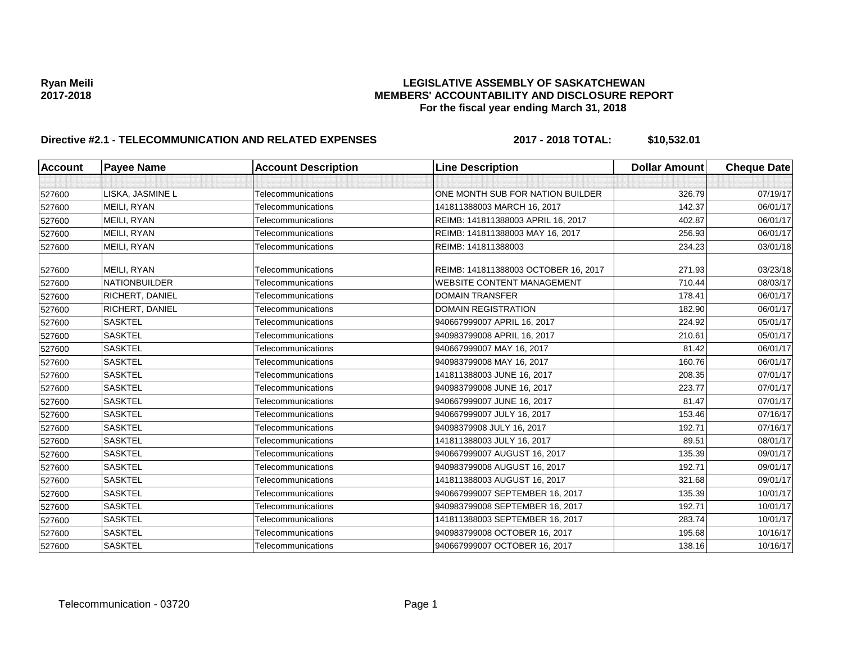# Ryan Meili<br>LEGISLATIVE ASSEMBLY OF SASKATCHEWAN<br>MEMBERS' ACCOUNTABILITY AND DISCLOSURE REF **2017-2018 MEMBERS' ACCOUNTABILITY AND DISCLOSURE REPORT For the fiscal year ending March 31, 2018**

# **Directive #2.1 - TELECOMMUNICATION AND RELATED EXPENSES 2017 - 2018 TOTAL: \$10,532.01**

| <b>Account</b> | <b>Payee Name</b>    | <b>Account Description</b> | <b>Line Description</b>              | <b>Dollar Amount</b> | <b>Cheque Date</b> |
|----------------|----------------------|----------------------------|--------------------------------------|----------------------|--------------------|
|                |                      |                            |                                      |                      |                    |
| 527600         | LISKA, JASMINE L     | Telecommunications         | ONE MONTH SUB FOR NATION BUILDER     | 326.79               | 07/19/17           |
| 527600         | MEILI, RYAN          | Telecommunications         | 141811388003 MARCH 16, 2017          | 142.37               | 06/01/17           |
| 527600         | MEILI, RYAN          | Telecommunications         | REIMB: 141811388003 APRIL 16, 2017   | 402.87               | 06/01/17           |
| 527600         | MEILI, RYAN          | Telecommunications         | REIMB: 141811388003 MAY 16, 2017     | 256.93               | 06/01/17           |
| 527600         | MEILI, RYAN          | Telecommunications         | REIMB: 141811388003                  | 234.23               | 03/01/18           |
| 527600         | MEILI, RYAN          | Telecommunications         | REIMB: 141811388003 OCTOBER 16, 2017 | 271.93               | 03/23/18           |
| 527600         | <b>NATIONBUILDER</b> | Telecommunications         | <b>WEBSITE CONTENT MANAGEMENT</b>    | 710.44               | 08/03/17           |
| 527600         | RICHERT, DANIEL      | Telecommunications         | <b>DOMAIN TRANSFER</b>               | 178.41               | 06/01/17           |
| 527600         | RICHERT, DANIEL      | Telecommunications         | <b>DOMAIN REGISTRATION</b>           | 182.90               | 06/01/17           |
| 527600         | <b>SASKTEL</b>       | Telecommunications         | 940667999007 APRIL 16, 2017          | 224.92               | 05/01/17           |
| 527600         | <b>SASKTEL</b>       | Telecommunications         | 940983799008 APRIL 16, 2017          | 210.61               | 05/01/17           |
| 527600         | <b>SASKTEL</b>       | Telecommunications         | 940667999007 MAY 16, 2017            | 81.42                | 06/01/17           |
| 527600         | <b>SASKTEL</b>       | Telecommunications         | 940983799008 MAY 16, 2017            | 160.76               | 06/01/17           |
| 527600         | <b>SASKTEL</b>       | Telecommunications         | 141811388003 JUNE 16, 2017           | 208.35               | 07/01/17           |
| 527600         | <b>SASKTEL</b>       | Telecommunications         | 940983799008 JUNE 16, 2017           | 223.77               | 07/01/17           |
| 527600         | <b>SASKTEL</b>       | Telecommunications         | 940667999007 JUNE 16, 2017           | 81.47                | 07/01/17           |
| 527600         | <b>SASKTEL</b>       | Telecommunications         | 940667999007 JULY 16, 2017           | 153.46               | 07/16/17           |
| 527600         | <b>SASKTEL</b>       | Telecommunications         | 94098379908 JULY 16, 2017            | 192.71               | 07/16/17           |
| 527600         | <b>SASKTEL</b>       | Telecommunications         | 141811388003 JULY 16, 2017           | 89.51                | 08/01/17           |
| 527600         | <b>SASKTEL</b>       | Telecommunications         | 940667999007 AUGUST 16, 2017         | 135.39               | 09/01/17           |
| 527600         | <b>SASKTEL</b>       | Telecommunications         | 940983799008 AUGUST 16, 2017         | 192.71               | 09/01/17           |
| 527600         | <b>SASKTEL</b>       | Telecommunications         | 141811388003 AUGUST 16, 2017         | 321.68               | 09/01/17           |
| 527600         | <b>SASKTEL</b>       | Telecommunications         | 940667999007 SEPTEMBER 16, 2017      | 135.39               | 10/01/17           |
| 527600         | <b>SASKTEL</b>       | Telecommunications         | 940983799008 SEPTEMBER 16, 2017      | 192.71               | 10/01/17           |
| 527600         | <b>SASKTEL</b>       | Telecommunications         | 141811388003 SEPTEMBER 16, 2017      | 283.74               | 10/01/17           |
| 527600         | <b>SASKTEL</b>       | Telecommunications         | 940983799008 OCTOBER 16, 2017        | 195.68               | 10/16/17           |
| 527600         | <b>SASKTEL</b>       | Telecommunications         | 940667999007 OCTOBER 16, 2017        | 138.16               | 10/16/17           |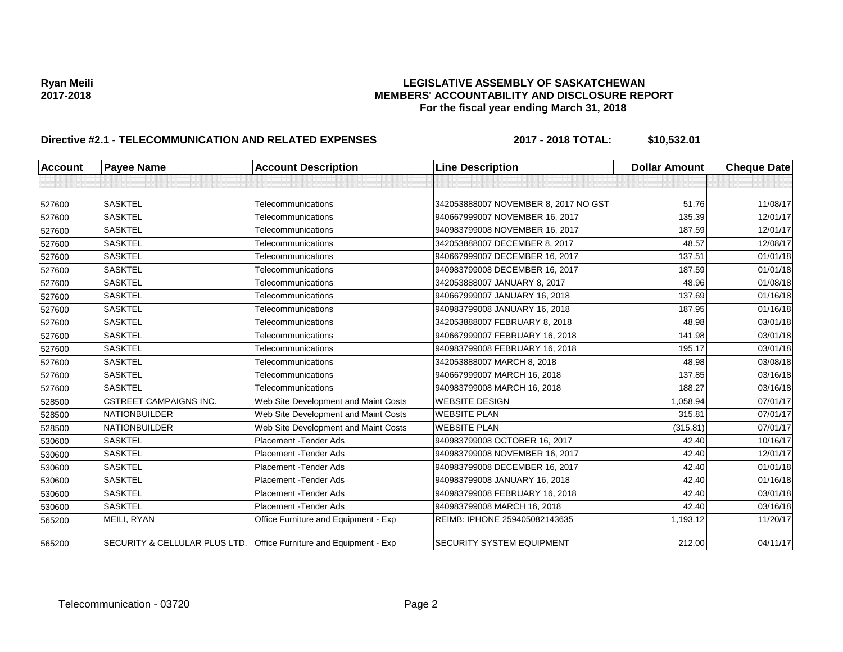# Ryan Meili<br>LEGISLATIVE ASSEMBLY OF SASKATCHEWAN<br>MEMBERS' ACCOUNTABILITY AND DISCLOSURE REF **2017-2018 MEMBERS' ACCOUNTABILITY AND DISCLOSURE REPORT For the fiscal year ending March 31, 2018**

# **Directive #2.1 - TELECOMMUNICATION AND RELATED EXPENSES 2017 - 2018 TOTAL: \$10,532.01**

| <b>Account</b> | <b>Payee Name</b>             | <b>Account Description</b>                                         | <b>Line Description</b>              | <b>Dollar Amount</b> | <b>Cheque Date</b> |
|----------------|-------------------------------|--------------------------------------------------------------------|--------------------------------------|----------------------|--------------------|
|                |                               |                                                                    |                                      |                      |                    |
|                | <b>SASKTEL</b>                |                                                                    |                                      |                      |                    |
| 527600         |                               | Telecommunications                                                 | 342053888007 NOVEMBER 8, 2017 NO GST | 51.76                | 11/08/17           |
| 527600         | <b>SASKTEL</b>                | Telecommunications                                                 | 940667999007 NOVEMBER 16, 2017       | 135.39               | 12/01/17           |
| 527600         | <b>SASKTEL</b>                | Telecommunications                                                 | 940983799008 NOVEMBER 16, 2017       | 187.59               | 12/01/17           |
| 527600         | <b>SASKTEL</b>                | Telecommunications                                                 | 342053888007 DECEMBER 8, 2017        | 48.57                | 12/08/17           |
| 527600         | <b>SASKTEL</b>                | Telecommunications                                                 | 940667999007 DECEMBER 16, 2017       | 137.51               | 01/01/18           |
| 527600         | <b>SASKTEL</b>                | Telecommunications                                                 | 940983799008 DECEMBER 16, 2017       | 187.59               | 01/01/18           |
| 527600         | <b>SASKTEL</b>                | Telecommunications                                                 | 342053888007 JANUARY 8, 2017         | 48.96                | 01/08/18           |
| 527600         | <b>SASKTEL</b>                | Telecommunications                                                 | 940667999007 JANUARY 16, 2018        | 137.69               | 01/16/18           |
| 527600         | <b>SASKTEL</b>                | Telecommunications                                                 | 940983799008 JANUARY 16, 2018        | 187.95               | 01/16/18           |
| 527600         | <b>SASKTEL</b>                | Telecommunications                                                 | 342053888007 FEBRUARY 8, 2018        | 48.98                | 03/01/18           |
| 527600         | <b>SASKTEL</b>                | Telecommunications                                                 | 940667999007 FEBRUARY 16, 2018       | 141.98               | 03/01/18           |
| 527600         | <b>SASKTEL</b>                | Telecommunications                                                 | 940983799008 FEBRUARY 16, 2018       | 195.17               | 03/01/18           |
| 527600         | <b>SASKTEL</b>                | Telecommunications                                                 | 342053888007 MARCH 8, 2018           | 48.98                | 03/08/18           |
| 527600         | <b>SASKTEL</b>                | Telecommunications                                                 | 940667999007 MARCH 16, 2018          | 137.85               | 03/16/18           |
| 527600         | <b>SASKTEL</b>                | Telecommunications                                                 | 940983799008 MARCH 16, 2018          | 188.27               | 03/16/18           |
| 528500         | <b>CSTREET CAMPAIGNS INC.</b> | Web Site Development and Maint Costs                               | <b>WEBSITE DESIGN</b>                | 1,058.94             | 07/01/17           |
| 528500         | NATIONBUILDER                 | Web Site Development and Maint Costs                               | <b>WEBSITE PLAN</b>                  | 315.81               | 07/01/17           |
| 528500         | <b>NATIONBUILDER</b>          | Web Site Development and Maint Costs                               | <b>WEBSITE PLAN</b>                  | (315.81)             | 07/01/17           |
| 530600         | <b>SASKTEL</b>                | Placement - Tender Ads                                             | 940983799008 OCTOBER 16, 2017        | 42.40                | 10/16/17           |
| 530600         | <b>SASKTEL</b>                | Placement - Tender Ads                                             | 940983799008 NOVEMBER 16, 2017       | 42.40                | 12/01/17           |
| 530600         | <b>SASKTEL</b>                | Placement - Tender Ads                                             | 940983799008 DECEMBER 16, 2017       | 42.40                | 01/01/18           |
| 530600         | <b>SASKTEL</b>                | Placement - Tender Ads                                             | 940983799008 JANUARY 16, 2018        | 42.40                | 01/16/18           |
| 530600         | <b>SASKTEL</b>                | Placement - Tender Ads                                             | 940983799008 FEBRUARY 16, 2018       | 42.40                | 03/01/18           |
| 530600         | <b>SASKTEL</b>                | Placement - Tender Ads                                             | 940983799008 MARCH 16, 2018          | 42.40                | 03/16/18           |
| 565200         | MEILI, RYAN                   | Office Furniture and Equipment - Exp                               | REIMB: IPHONE 259405082143635        | 1,193.12             | 11/20/17           |
| 565200         |                               | SECURITY & CELLULAR PLUS LTD. Office Furniture and Equipment - Exp | <b>SECURITY SYSTEM EQUIPMENT</b>     | 212.00               | 04/11/17           |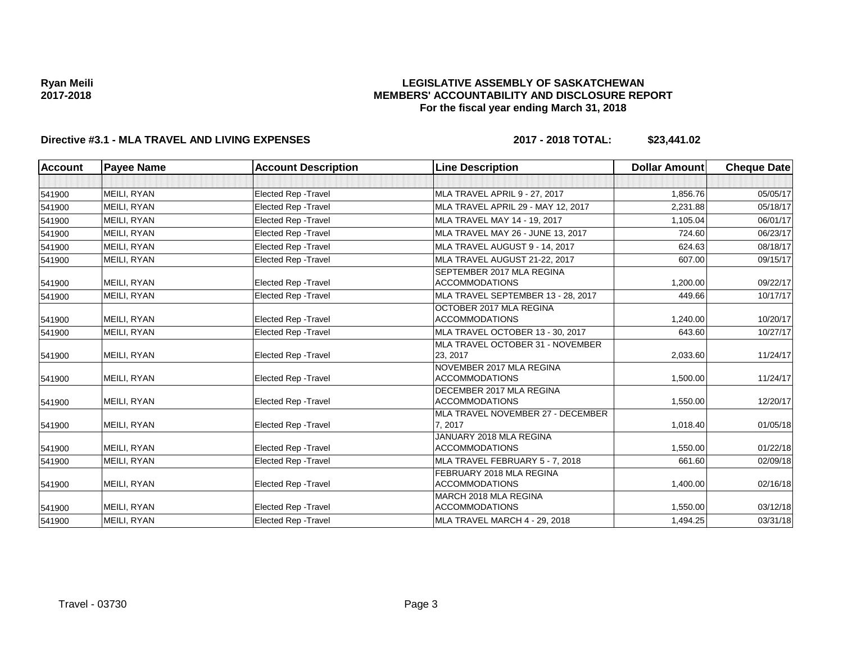## **LEGISLATIVE ASSEMBLY OF SASKATCHEWAN MEMBERS' ACCOUNTABILITY AND DISCLOSURE REPORT For the fiscal year ending March 31, 2018**

# **Directive #3.1 - MLA TRAVEL AND LIVING EXPENSES 2017 - 2018 TOTAL: \$23,441.02**

| <b>Account</b> | <b>Payee Name</b> | <b>Account Description</b>  | <b>Line Description</b>                            | <b>Dollar Amount</b> | <b>Cheque Date</b> |
|----------------|-------------------|-----------------------------|----------------------------------------------------|----------------------|--------------------|
|                |                   |                             |                                                    |                      |                    |
| 541900         | MEILI, RYAN       | <b>Elected Rep - Travel</b> | MLA TRAVEL APRIL 9 - 27, 2017                      | 1,856.76             | 05/05/17           |
| 541900         | MEILI, RYAN       | <b>Elected Rep - Travel</b> | MLA TRAVEL APRIL 29 - MAY 12, 2017                 | 2,231.88             | 05/18/17           |
| 541900         | MEILI, RYAN       | <b>Elected Rep - Travel</b> | MLA TRAVEL MAY 14 - 19, 2017                       | 1,105.04             | 06/01/17           |
| 541900         | MEILI, RYAN       | <b>Elected Rep - Travel</b> | MLA TRAVEL MAY 26 - JUNE 13, 2017                  | 724.60               | 06/23/17           |
| 541900         | MEILI, RYAN       | <b>Elected Rep - Travel</b> | MLA TRAVEL AUGUST 9 - 14, 2017                     | 624.63               | 08/18/17           |
| 541900         | MEILI, RYAN       | <b>Elected Rep - Travel</b> | MLA TRAVEL AUGUST 21-22, 2017                      | 607.00               | 09/15/17           |
| 541900         | MEILI, RYAN       | <b>Elected Rep - Travel</b> | SEPTEMBER 2017 MLA REGINA<br><b>ACCOMMODATIONS</b> | 1,200.00             | 09/22/17           |
| 541900         | MEILI, RYAN       | Elected Rep - Travel        | MLA TRAVEL SEPTEMBER 13 - 28, 2017                 | 449.66               | 10/17/17           |
|                |                   |                             | OCTOBER 2017 MLA REGINA                            |                      |                    |
| 541900         | MEILI, RYAN       | <b>Elected Rep - Travel</b> | <b>ACCOMMODATIONS</b>                              | 1,240.00             | 10/20/17           |
| 541900         | MEILI, RYAN       | Elected Rep - Travel        | MLA TRAVEL OCTOBER 13 - 30, 2017                   | 643.60               | 10/27/17           |
|                |                   |                             | MLA TRAVEL OCTOBER 31 - NOVEMBER                   |                      |                    |
| 541900         | MEILI, RYAN       | <b>Elected Rep - Travel</b> | 23, 2017                                           | 2,033.60             | 11/24/17           |
| 541900         | MEILI, RYAN       | Elected Rep - Travel        | NOVEMBER 2017 MLA REGINA<br><b>ACCOMMODATIONS</b>  | 1,500.00             | 11/24/17           |
| 541900         | MEILI, RYAN       | <b>Elected Rep - Travel</b> | DECEMBER 2017 MLA REGINA<br><b>ACCOMMODATIONS</b>  | 1,550.00             | 12/20/17           |
| 541900         | MEILI, RYAN       | <b>Elected Rep - Travel</b> | MLA TRAVEL NOVEMBER 27 - DECEMBER<br>7, 2017       | 1,018.40             | 01/05/18           |
| 541900         | MEILI, RYAN       | <b>Elected Rep - Travel</b> | JANUARY 2018 MLA REGINA<br><b>ACCOMMODATIONS</b>   | 1,550.00             | 01/22/18           |
| 541900         | MEILI, RYAN       | <b>Elected Rep - Travel</b> | MLA TRAVEL FEBRUARY 5 - 7, 2018                    | 661.60               | 02/09/18           |
| 541900         | MEILI, RYAN       | <b>Elected Rep - Travel</b> | FEBRUARY 2018 MLA REGINA<br><b>ACCOMMODATIONS</b>  | 1,400.00             | 02/16/18           |
| 541900         | MEILI, RYAN       | <b>Elected Rep - Travel</b> | MARCH 2018 MLA REGINA<br><b>ACCOMMODATIONS</b>     | 1,550.00             | 03/12/18           |
| 541900         | MEILI, RYAN       | <b>Elected Rep - Travel</b> | MLA TRAVEL MARCH 4 - 29, 2018                      | 1,494.25             | 03/31/18           |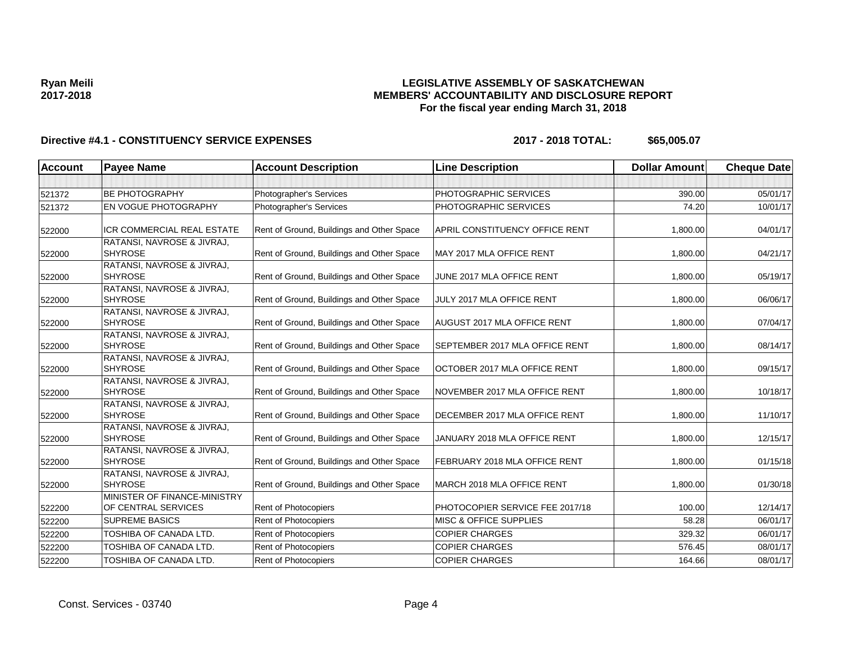# **LEGISLATIVE ASSEMBLY OF SASKATCHEWAN MEMBERS' ACCOUNTABILITY AND DISCLOSURE REPORT For the fiscal year ending March 31, 2018**

| <b>Account</b> | <b>Payee Name</b>                                   | <b>Account Description</b>                | <b>Line Description</b>               | <b>Dollar Amount</b> | <b>Cheque Date</b> |
|----------------|-----------------------------------------------------|-------------------------------------------|---------------------------------------|----------------------|--------------------|
|                |                                                     |                                           |                                       |                      |                    |
| 521372         | <b>BE PHOTOGRAPHY</b>                               | Photographer's Services                   | PHOTOGRAPHIC SERVICES                 | 390.00               | 05/01/17           |
| 521372         | <b>EN VOGUE PHOTOGRAPHY</b>                         | Photographer's Services                   | PHOTOGRAPHIC SERVICES                 | 74.20                | 10/01/17           |
| 522000         | <b>ICR COMMERCIAL REAL ESTATE</b>                   | Rent of Ground, Buildings and Other Space | <b>APRIL CONSTITUENCY OFFICE RENT</b> | 1,800.00             | 04/01/17           |
| 522000         | RATANSI, NAVROSE & JIVRAJ,<br><b>SHYROSE</b>        | Rent of Ground, Buildings and Other Space | MAY 2017 MLA OFFICE RENT              | 1,800.00             | 04/21/17           |
| 522000         | RATANSI, NAVROSE & JIVRAJ,<br><b>SHYROSE</b>        | Rent of Ground, Buildings and Other Space | JUNE 2017 MLA OFFICE RENT             | 1,800.00             | 05/19/17           |
| 522000         | RATANSI, NAVROSE & JIVRAJ,<br><b>SHYROSE</b>        | Rent of Ground, Buildings and Other Space | JULY 2017 MLA OFFICE RENT             | 1,800.00             | 06/06/17           |
| 522000         | RATANSI, NAVROSE & JIVRAJ,<br><b>SHYROSE</b>        | Rent of Ground, Buildings and Other Space | <b>AUGUST 2017 MLA OFFICE RENT</b>    | 1,800.00             | 07/04/17           |
| 522000         | RATANSI, NAVROSE & JIVRAJ,<br><b>SHYROSE</b>        | Rent of Ground, Buildings and Other Space | <b>SEPTEMBER 2017 MLA OFFICE RENT</b> | 1,800.00             | 08/14/17           |
| 522000         | RATANSI, NAVROSE & JIVRAJ,<br><b>SHYROSE</b>        | Rent of Ground, Buildings and Other Space | OCTOBER 2017 MLA OFFICE RENT          | 1,800.00             | 09/15/17           |
| 522000         | RATANSI, NAVROSE & JIVRAJ,<br><b>SHYROSE</b>        | Rent of Ground, Buildings and Other Space | NOVEMBER 2017 MLA OFFICE RENT         | 1,800.00             | 10/18/17           |
| 522000         | RATANSI, NAVROSE & JIVRAJ,<br><b>SHYROSE</b>        | Rent of Ground, Buildings and Other Space | DECEMBER 2017 MLA OFFICE RENT         | 1,800.00             | 11/10/17           |
| 522000         | RATANSI, NAVROSE & JIVRAJ,<br><b>SHYROSE</b>        | Rent of Ground, Buildings and Other Space | JANUARY 2018 MLA OFFICE RENT          | 1,800.00             | 12/15/17           |
| 522000         | RATANSI, NAVROSE & JIVRAJ,<br><b>SHYROSE</b>        | Rent of Ground, Buildings and Other Space | FEBRUARY 2018 MLA OFFICE RENT         | 1,800.00             | 01/15/18           |
| 522000         | RATANSI, NAVROSE & JIVRAJ,<br><b>SHYROSE</b>        | Rent of Ground, Buildings and Other Space | MARCH 2018 MLA OFFICE RENT            | 1,800.00             | 01/30/18           |
| 522200         | MINISTER OF FINANCE-MINISTRY<br>OF CENTRAL SERVICES | Rent of Photocopiers                      | PHOTOCOPIER SERVICE FEE 2017/18       | 100.00               | 12/14/17           |
| 522200         | <b>SUPREME BASICS</b>                               | <b>Rent of Photocopiers</b>               | <b>MISC &amp; OFFICE SUPPLIES</b>     | 58.28                | 06/01/17           |
| 522200         | TOSHIBA OF CANADA LTD.                              | Rent of Photocopiers                      | <b>COPIER CHARGES</b>                 | 329.32               | 06/01/17           |
| 522200         | TOSHIBA OF CANADA LTD.                              | Rent of Photocopiers                      | <b>COPIER CHARGES</b>                 | 576.45               | 08/01/17           |
| 522200         | TOSHIBA OF CANADA LTD.                              | Rent of Photocopiers                      | <b>COPIER CHARGES</b>                 | 164.66               | 08/01/17           |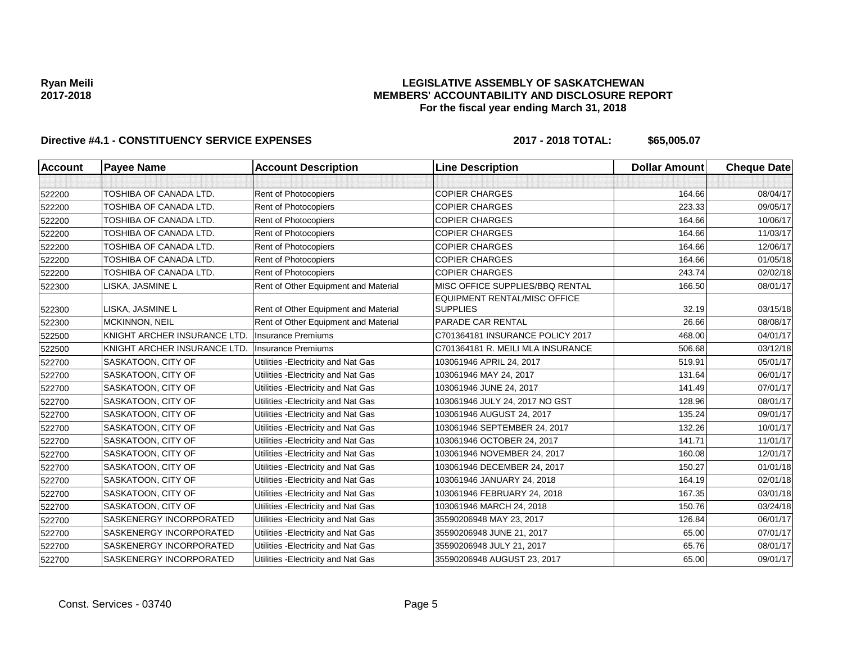## **LEGISLATIVE ASSEMBLY OF SASKATCHEWAN MEMBERS' ACCOUNTABILITY AND DISCLOSURE REPORT For the fiscal year ending March 31, 2018**

| <b>Account</b> | <b>Payee Name</b>            | <b>Account Description</b>           | <b>Line Description</b>                         | <b>Dollar Amount</b> | <b>Cheque Date</b> |
|----------------|------------------------------|--------------------------------------|-------------------------------------------------|----------------------|--------------------|
|                |                              |                                      |                                                 |                      |                    |
| 522200         | TOSHIBA OF CANADA LTD.       | Rent of Photocopiers                 | <b>COPIER CHARGES</b>                           | 164.66               | 08/04/17           |
| 522200         | TOSHIBA OF CANADA LTD.       | Rent of Photocopiers                 | <b>COPIER CHARGES</b>                           | 223.33               | 09/05/17           |
| 522200         | TOSHIBA OF CANADA LTD.       | Rent of Photocopiers                 | <b>COPIER CHARGES</b>                           | 164.66               | 10/06/17           |
| 522200         | TOSHIBA OF CANADA LTD.       | Rent of Photocopiers                 | <b>COPIER CHARGES</b>                           | 164.66               | 11/03/17           |
| 522200         | TOSHIBA OF CANADA LTD.       | Rent of Photocopiers                 | <b>COPIER CHARGES</b>                           | 164.66               | 12/06/17           |
| 522200         | TOSHIBA OF CANADA LTD.       | Rent of Photocopiers                 | <b>COPIER CHARGES</b>                           | 164.66               | 01/05/18           |
| 522200         | TOSHIBA OF CANADA LTD.       | Rent of Photocopiers                 | <b>COPIER CHARGES</b>                           | 243.74               | 02/02/18           |
| 522300         | LISKA, JASMINE L             | Rent of Other Equipment and Material | MISC OFFICE SUPPLIES/BBQ RENTAL                 | 166.50               | 08/01/17           |
| 522300         | LISKA, JASMINE L             | Rent of Other Equipment and Material | EQUIPMENT RENTAL/MISC OFFICE<br><b>SUPPLIES</b> | 32.19                | 03/15/18           |
| 522300         | <b>MCKINNON, NEIL</b>        | Rent of Other Equipment and Material | PARADE CAR RENTAL                               | 26.66                | 08/08/17           |
| 522500         | KNIGHT ARCHER INSURANCE LTD. | <b>Insurance Premiums</b>            | C701364181 INSURANCE POLICY 2017                | 468.00               | 04/01/17           |
| 522500         | KNIGHT ARCHER INSURANCE LTD. | <b>Insurance Premiums</b>            | C701364181 R. MEILI MLA INSURANCE               | 506.68               | 03/12/18           |
| 522700         | SASKATOON, CITY OF           | Utilities - Electricity and Nat Gas  | 103061946 APRIL 24, 2017                        | 519.91               | 05/01/17           |
| 522700         | SASKATOON, CITY OF           | Utilities - Electricity and Nat Gas  | 103061946 MAY 24, 2017                          | 131.64               | 06/01/17           |
| 522700         | SASKATOON, CITY OF           | Utilities - Electricity and Nat Gas  | 103061946 JUNE 24, 2017                         | 141.49               | 07/01/17           |
| 522700         | SASKATOON, CITY OF           | Utilities - Electricity and Nat Gas  | 103061946 JULY 24, 2017 NO GST                  | 128.96               | 08/01/17           |
| 522700         | SASKATOON, CITY OF           | Utilities - Electricity and Nat Gas  | 103061946 AUGUST 24, 2017                       | 135.24               | 09/01/17           |
| 522700         | SASKATOON, CITY OF           | Utilities - Electricity and Nat Gas  | 103061946 SEPTEMBER 24, 2017                    | 132.26               | 10/01/17           |
| 522700         | SASKATOON, CITY OF           | Utilities - Electricity and Nat Gas  | 103061946 OCTOBER 24, 2017                      | 141.71               | 11/01/17           |
| 522700         | SASKATOON, CITY OF           | Utilities - Electricity and Nat Gas  | 103061946 NOVEMBER 24, 2017                     | 160.08               | 12/01/17           |
| 522700         | SASKATOON, CITY OF           | Utilities - Electricity and Nat Gas  | 103061946 DECEMBER 24, 2017                     | 150.27               | 01/01/18           |
| 522700         | SASKATOON, CITY OF           | Utilities - Electricity and Nat Gas  | 103061946 JANUARY 24, 2018                      | 164.19               | 02/01/18           |
| 522700         | SASKATOON, CITY OF           | Utilities - Electricity and Nat Gas  | 103061946 FEBRUARY 24, 2018                     | 167.35               | 03/01/18           |
| 522700         | SASKATOON, CITY OF           | Utilities - Electricity and Nat Gas  | 103061946 MARCH 24, 2018                        | 150.76               | 03/24/18           |
| 522700         | SASKENERGY INCORPORATED      | Utilities - Electricity and Nat Gas  | 35590206948 MAY 23, 2017                        | 126.84               | 06/01/17           |
| 522700         | SASKENERGY INCORPORATED      | Utilities - Electricity and Nat Gas  | 35590206948 JUNE 21, 2017                       | 65.00                | 07/01/17           |
| 522700         | SASKENERGY INCORPORATED      | Utilities - Electricity and Nat Gas  | 35590206948 JULY 21, 2017                       | 65.76                | 08/01/17           |
| 522700         | SASKENERGY INCORPORATED      | Utilities - Electricity and Nat Gas  | 35590206948 AUGUST 23, 2017                     | 65.00                | 09/01/17           |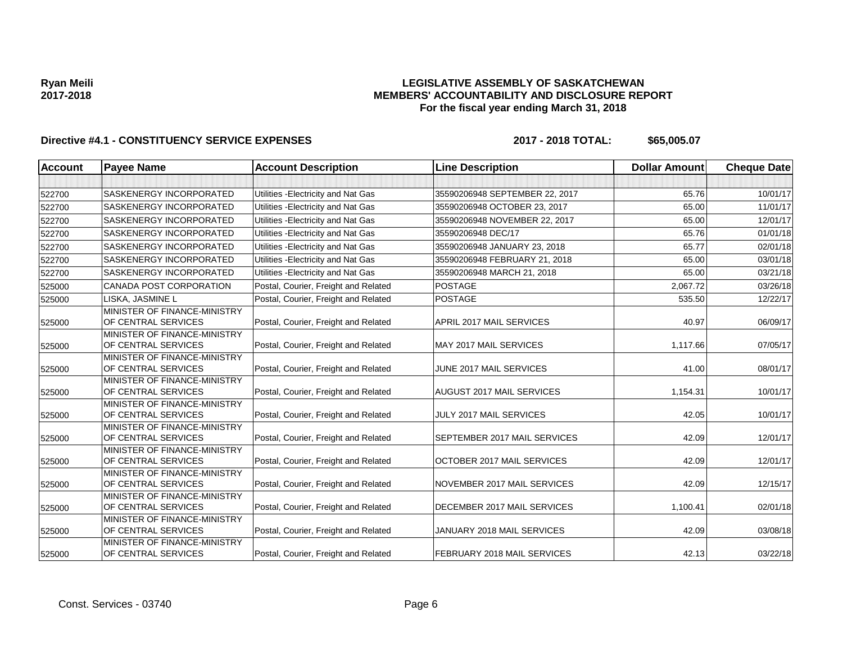## **LEGISLATIVE ASSEMBLY OF SASKATCHEWAN MEMBERS' ACCOUNTABILITY AND DISCLOSURE REPORT For the fiscal year ending March 31, 2018**

| <b>Account</b> | <b>Payee Name</b>                                   | <b>Account Description</b>           | <b>Line Description</b>        | <b>Dollar Amount</b> | <b>Cheque Date</b> |
|----------------|-----------------------------------------------------|--------------------------------------|--------------------------------|----------------------|--------------------|
|                |                                                     |                                      |                                |                      |                    |
| 522700         | SASKENERGY INCORPORATED                             | Utilities - Electricity and Nat Gas  | 35590206948 SEPTEMBER 22, 2017 | 65.76                | 10/01/17           |
| 522700         | <b>SASKENERGY INCORPORATED</b>                      | Utilities - Electricity and Nat Gas  | 35590206948 OCTOBER 23, 2017   | 65.00                | 11/01/17           |
| 522700         | SASKENERGY INCORPORATED                             | Utilities - Electricity and Nat Gas  | 35590206948 NOVEMBER 22, 2017  | 65.00                | 12/01/17           |
| 522700         | <b>SASKENERGY INCORPORATED</b>                      | Utilities - Electricity and Nat Gas  | 35590206948 DEC/17             | 65.76                | 01/01/18           |
| 522700         | <b>SASKENERGY INCORPORATED</b>                      | Utilities - Electricity and Nat Gas  | 35590206948 JANUARY 23, 2018   | 65.77                | 02/01/18           |
| 522700         | SASKENERGY INCORPORATED                             | Utilities - Electricity and Nat Gas  | 35590206948 FEBRUARY 21, 2018  | 65.00                | 03/01/18           |
| 522700         | SASKENERGY INCORPORATED                             | Utilities - Electricity and Nat Gas  | 35590206948 MARCH 21, 2018     | 65.00                | 03/21/18           |
| 525000         | CANADA POST CORPORATION                             | Postal, Courier, Freight and Related | <b>POSTAGE</b>                 | 2,067.72             | 03/26/18           |
| 525000         | LISKA, JASMINE L                                    | Postal, Courier, Freight and Related | <b>POSTAGE</b>                 | 535.50               | 12/22/17           |
| 525000         | MINISTER OF FINANCE-MINISTRY<br>OF CENTRAL SERVICES | Postal, Courier, Freight and Related | APRIL 2017 MAIL SERVICES       | 40.97                | 06/09/17           |
| 525000         | MINISTER OF FINANCE-MINISTRY<br>OF CENTRAL SERVICES | Postal, Courier, Freight and Related | MAY 2017 MAIL SERVICES         | 1,117.66             | 07/05/17           |
| 525000         | MINISTER OF FINANCE-MINISTRY<br>OF CENTRAL SERVICES | Postal, Courier, Freight and Related | JUNE 2017 MAIL SERVICES        | 41.00                | 08/01/17           |
| 525000         | MINISTER OF FINANCE-MINISTRY<br>OF CENTRAL SERVICES | Postal, Courier, Freight and Related | AUGUST 2017 MAIL SERVICES      | 1,154.31             | 10/01/17           |
| 525000         | MINISTER OF FINANCE-MINISTRY<br>OF CENTRAL SERVICES | Postal, Courier, Freight and Related | <b>JULY 2017 MAIL SERVICES</b> | 42.05                | 10/01/17           |
| 525000         | MINISTER OF FINANCE-MINISTRY<br>OF CENTRAL SERVICES | Postal, Courier, Freight and Related | SEPTEMBER 2017 MAIL SERVICES   | 42.09                | 12/01/17           |
| 525000         | MINISTER OF FINANCE-MINISTRY<br>OF CENTRAL SERVICES | Postal, Courier, Freight and Related | OCTOBER 2017 MAIL SERVICES     | 42.09                | 12/01/17           |
| 525000         | MINISTER OF FINANCE-MINISTRY<br>OF CENTRAL SERVICES | Postal, Courier, Freight and Related | NOVEMBER 2017 MAIL SERVICES    | 42.09                | 12/15/17           |
| 525000         | MINISTER OF FINANCE-MINISTRY<br>OF CENTRAL SERVICES | Postal, Courier, Freight and Related | DECEMBER 2017 MAIL SERVICES    | 1,100.41             | 02/01/18           |
| 525000         | MINISTER OF FINANCE-MINISTRY<br>OF CENTRAL SERVICES | Postal, Courier, Freight and Related | JANUARY 2018 MAIL SERVICES     | 42.09                | 03/08/18           |
| 525000         | MINISTER OF FINANCE-MINISTRY<br>OF CENTRAL SERVICES | Postal, Courier, Freight and Related | FEBRUARY 2018 MAIL SERVICES    | 42.13                | 03/22/18           |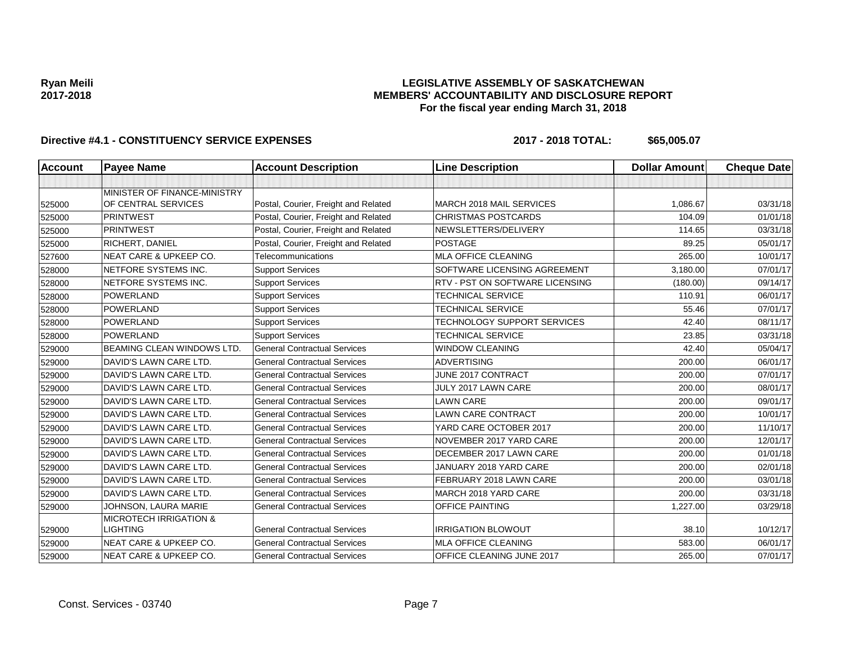## **LEGISLATIVE ASSEMBLY OF SASKATCHEWAN MEMBERS' ACCOUNTABILITY AND DISCLOSURE REPORT For the fiscal year ending March 31, 2018**

| <b>Account</b> | <b>Payee Name</b>                 | <b>Account Description</b>           | <b>Line Description</b>         | <b>Dollar Amount</b> | <b>Cheque Date</b> |
|----------------|-----------------------------------|--------------------------------------|---------------------------------|----------------------|--------------------|
|                |                                   |                                      |                                 |                      |                    |
|                | MINISTER OF FINANCE-MINISTRY      |                                      |                                 |                      |                    |
| 525000         | OF CENTRAL SERVICES               | Postal, Courier, Freight and Related | MARCH 2018 MAIL SERVICES        | 1,086.67             | 03/31/18           |
| 525000         | <b>PRINTWEST</b>                  | Postal, Courier, Freight and Related | <b>CHRISTMAS POSTCARDS</b>      | 104.09               | 01/01/18           |
| 525000         | <b>PRINTWEST</b>                  | Postal, Courier, Freight and Related | NEWSLETTERS/DELIVERY            | 114.65               | 03/31/18           |
| 525000         | RICHERT, DANIEL                   | Postal, Courier, Freight and Related | <b>POSTAGE</b>                  | 89.25                | 05/01/17           |
| 527600         | <b>NEAT CARE &amp; UPKEEP CO.</b> | Telecommunications                   | <b>MLA OFFICE CLEANING</b>      | 265.00               | 10/01/17           |
| 528000         | NETFORE SYSTEMS INC.              | <b>Support Services</b>              | SOFTWARE LICENSING AGREEMENT    | 3.180.00             | 07/01/17           |
| 528000         | NETFORE SYSTEMS INC.              | <b>Support Services</b>              | RTV - PST ON SOFTWARE LICENSING | (180.00)             | 09/14/17           |
| 528000         | <b>POWERLAND</b>                  | <b>Support Services</b>              | <b>TECHNICAL SERVICE</b>        | 110.91               | 06/01/17           |
| 528000         | <b>POWERLAND</b>                  | <b>Support Services</b>              | <b>TECHNICAL SERVICE</b>        | 55.46                | 07/01/17           |
| 528000         | <b>POWERLAND</b>                  | <b>Support Services</b>              | TECHNOLOGY SUPPORT SERVICES     | 42.40                | 08/11/17           |
| 528000         | <b>POWERLAND</b>                  | <b>Support Services</b>              | <b>TECHNICAL SERVICE</b>        | 23.85                | 03/31/18           |
| 529000         | <b>BEAMING CLEAN WINDOWS LTD.</b> | <b>General Contractual Services</b>  | <b>WINDOW CLEANING</b>          | 42.40                | 05/04/17           |
| 529000         | DAVID'S LAWN CARE LTD.            | <b>General Contractual Services</b>  | <b>ADVERTISING</b>              | 200.00               | 06/01/17           |
| 529000         | DAVID'S LAWN CARE LTD.            | <b>General Contractual Services</b>  | JUNE 2017 CONTRACT              | 200.00               | 07/01/17           |
| 529000         | DAVID'S LAWN CARE LTD.            | <b>General Contractual Services</b>  | JULY 2017 LAWN CARE             | 200.00               | 08/01/17           |
| 529000         | DAVID'S LAWN CARE LTD.            | <b>General Contractual Services</b>  | <b>LAWN CARE</b>                | 200.00               | 09/01/17           |
| 529000         | DAVID'S LAWN CARE LTD.            | <b>General Contractual Services</b>  | <b>LAWN CARE CONTRACT</b>       | 200.00               | 10/01/17           |
| 529000         | DAVID'S LAWN CARE LTD.            | <b>General Contractual Services</b>  | YARD CARE OCTOBER 2017          | 200.00               | 11/10/17           |
| 529000         | DAVID'S LAWN CARE LTD.            | <b>General Contractual Services</b>  | NOVEMBER 2017 YARD CARE         | 200.00               | 12/01/17           |
| 529000         | DAVID'S LAWN CARE LTD.            | <b>General Contractual Services</b>  | DECEMBER 2017 LAWN CARE         | 200.00               | 01/01/18           |
| 529000         | DAVID'S LAWN CARE LTD.            | <b>General Contractual Services</b>  | JANUARY 2018 YARD CARE          | 200.00               | 02/01/18           |
| 529000         | DAVID'S LAWN CARE LTD.            | <b>General Contractual Services</b>  | FEBRUARY 2018 LAWN CARE         | 200.00               | 03/01/18           |
| 529000         | DAVID'S LAWN CARE LTD.            | <b>General Contractual Services</b>  | MARCH 2018 YARD CARE            | 200.00               | 03/31/18           |
| 529000         | JOHNSON, LAURA MARIE              | <b>General Contractual Services</b>  | OFFICE PAINTING                 | 1,227.00             | 03/29/18           |
|                | <b>MICROTECH IRRIGATION &amp;</b> |                                      |                                 |                      |                    |
| 529000         | LIGHTING                          | <b>General Contractual Services</b>  | <b>IRRIGATION BLOWOUT</b>       | 38.10                | 10/12/17           |
| 529000         | <b>NEAT CARE &amp; UPKEEP CO.</b> | <b>General Contractual Services</b>  | MLA OFFICE CLEANING             | 583.00               | 06/01/17           |
| 529000         | <b>NEAT CARE &amp; UPKEEP CO.</b> | <b>General Contractual Services</b>  | OFFICE CLEANING JUNE 2017       | 265.00               | 07/01/17           |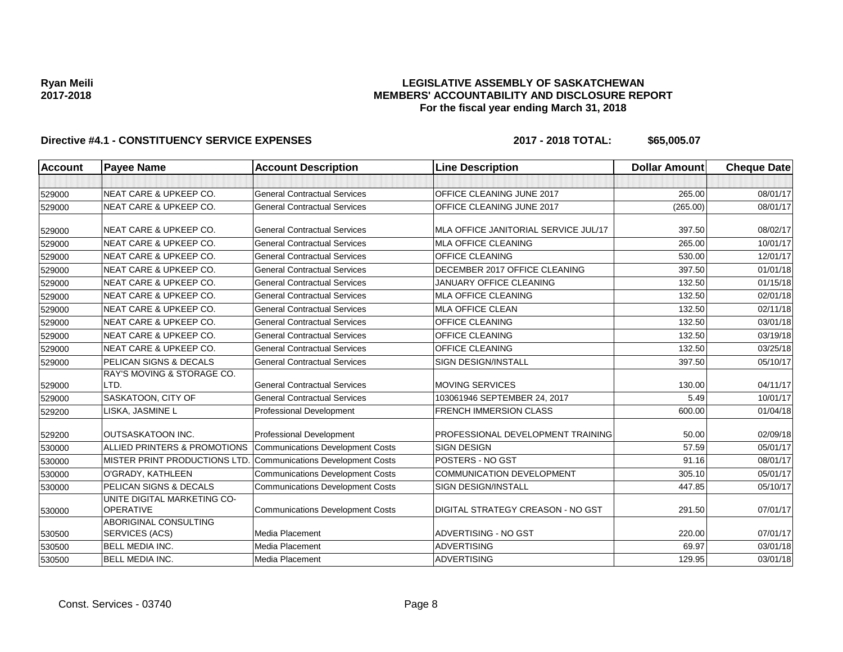## **LEGISLATIVE ASSEMBLY OF SASKATCHEWAN MEMBERS' ACCOUNTABILITY AND DISCLOSURE REPORT For the fiscal year ending March 31, 2018**

| <b>Account</b> | <b>Payee Name</b>                               | <b>Account Description</b>              | <b>Line Description</b>              | <b>Dollar Amount</b> | <b>Cheque Date</b> |
|----------------|-------------------------------------------------|-----------------------------------------|--------------------------------------|----------------------|--------------------|
|                |                                                 |                                         |                                      |                      |                    |
| 529000         | <b>NEAT CARE &amp; UPKEEP CO.</b>               | <b>General Contractual Services</b>     | OFFICE CLEANING JUNE 2017            | 265.00               | 08/01/17           |
| 529000         | NEAT CARE & UPKEEP CO.                          | <b>General Contractual Services</b>     | OFFICE CLEANING JUNE 2017            | (265.00)             | 08/01/17           |
| 529000         | <b>NEAT CARE &amp; UPKEEP CO.</b>               | <b>General Contractual Services</b>     | MLA OFFICE JANITORIAL SERVICE JUL/17 | 397.50               | 08/02/17           |
| 529000         | <b>NEAT CARE &amp; UPKEEP CO.</b>               | <b>General Contractual Services</b>     | <b>MLA OFFICE CLEANING</b>           | 265.00               | 10/01/17           |
| 529000         | <b>NEAT CARE &amp; UPKEEP CO.</b>               | <b>General Contractual Services</b>     | OFFICE CLEANING                      | 530.00               | 12/01/17           |
| 529000         | <b>NEAT CARE &amp; UPKEEP CO.</b>               | <b>General Contractual Services</b>     | DECEMBER 2017 OFFICE CLEANING        | 397.50               | 01/01/18           |
| 529000         | <b>NEAT CARE &amp; UPKEEP CO.</b>               | <b>General Contractual Services</b>     | <b>JANUARY OFFICE CLEANING</b>       | 132.50               | 01/15/18           |
| 529000         | <b>NEAT CARE &amp; UPKEEP CO.</b>               | <b>General Contractual Services</b>     | <b>MLA OFFICE CLEANING</b>           | 132.50               | 02/01/18           |
| 529000         | <b>NEAT CARE &amp; UPKEEP CO.</b>               | <b>General Contractual Services</b>     | <b>MLA OFFICE CLEAN</b>              | 132.50               | 02/11/18           |
| 529000         | <b>NEAT CARE &amp; UPKEEP CO.</b>               | <b>General Contractual Services</b>     | <b>OFFICE CLEANING</b>               | 132.50               | 03/01/18           |
| 529000         | <b>NEAT CARE &amp; UPKEEP CO.</b>               | <b>General Contractual Services</b>     | <b>OFFICE CLEANING</b>               | 132.50               | 03/19/18           |
| 529000         | <b>NEAT CARE &amp; UPKEEP CO.</b>               | <b>General Contractual Services</b>     | <b>OFFICE CLEANING</b>               | 132.50               | 03/25/18           |
| 529000         | PELICAN SIGNS & DECALS                          | <b>General Contractual Services</b>     | <b>SIGN DESIGN/INSTALL</b>           | 397.50               | 05/10/17           |
|                | <b>RAY'S MOVING &amp; STORAGE CO.</b>           |                                         |                                      |                      |                    |
| 529000         | LTD.                                            | <b>General Contractual Services</b>     | <b>MOVING SERVICES</b>               | 130.00               | 04/11/17           |
| 529000         | SASKATOON, CITY OF                              | <b>General Contractual Services</b>     | 103061946 SEPTEMBER 24, 2017         | 5.49                 | 10/01/17           |
| 529200         | LISKA, JASMINE L                                | Professional Development                | <b>FRENCH IMMERSION CLASS</b>        | 600.00               | 01/04/18           |
| 529200         | OUTSASKATOON INC.                               | Professional Development                | PROFESSIONAL DEVELOPMENT TRAINING    | 50.00                | 02/09/18           |
| 530000         | ALLIED PRINTERS & PROMOTIONS                    | <b>Communications Development Costs</b> | <b>SIGN DESIGN</b>                   | 57.59                | 05/01/17           |
| 530000         | MISTER PRINT PRODUCTIONS LTD.                   | <b>Communications Development Costs</b> | POSTERS - NO GST                     | 91.16                | 08/01/17           |
| 530000         | O'GRADY, KATHLEEN                               | <b>Communications Development Costs</b> | COMMUNICATION DEVELOPMENT            | 305.10               | 05/01/17           |
| 530000         | PELICAN SIGNS & DECALS                          | <b>Communications Development Costs</b> | SIGN DESIGN/INSTALL                  | 447.85               | 05/10/17           |
| 530000         | UNITE DIGITAL MARKETING CO-<br><b>OPERATIVE</b> | <b>Communications Development Costs</b> | DIGITAL STRATEGY CREASON - NO GST    | 291.50               | 07/01/17           |
| 530500         | <b>ABORIGINAL CONSULTING</b><br>SERVICES (ACS)  | <b>Media Placement</b>                  | ADVERTISING - NO GST                 | 220.00               | 07/01/17           |
| 530500         | <b>BELL MEDIA INC.</b>                          | Media Placement                         | <b>ADVERTISING</b>                   | 69.97                | 03/01/18           |
| 530500         | <b>BELL MEDIA INC.</b>                          | <b>Media Placement</b>                  | <b>ADVERTISING</b>                   | 129.95               | 03/01/18           |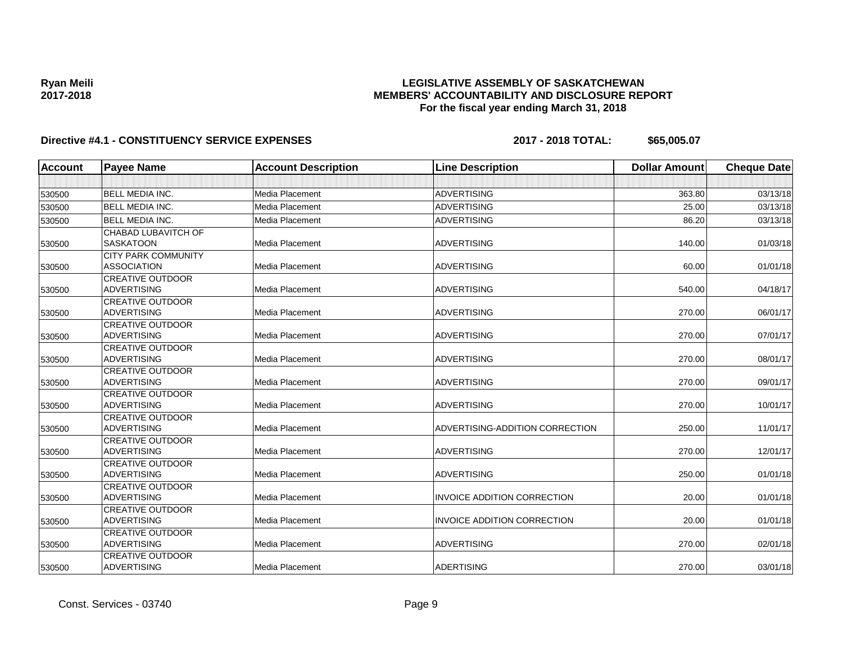## **LEGISLATIVE ASSEMBLY OF SASKATCHEWAN MEMBERS' ACCOUNTABILITY AND DISCLOSURE REPORT For the fiscal year ending March 31, 2018**

| <b>Account</b> | <b>Payee Name</b>                             | <b>Account Description</b> | <b>Line Description</b>            | <b>Dollar Amount</b> | <b>Cheque Date</b> |
|----------------|-----------------------------------------------|----------------------------|------------------------------------|----------------------|--------------------|
|                |                                               |                            |                                    |                      |                    |
| 530500         | <b>BELL MEDIA INC.</b>                        | Media Placement            | <b>ADVERTISING</b>                 | 363.80               | 03/13/18           |
| 530500         | <b>BELL MEDIA INC.</b>                        | Media Placement            | <b>ADVERTISING</b>                 | 25.00                | 03/13/18           |
| 530500         | <b>BELL MEDIA INC.</b>                        | <b>Media Placement</b>     | <b>ADVERTISING</b>                 | 86.20                | 03/13/18           |
|                | CHABAD LUBAVITCH OF                           |                            |                                    |                      |                    |
| 530500         | <b>SASKATOON</b>                              | Media Placement            | <b>ADVERTISING</b>                 | 140.00               | 01/03/18           |
|                | <b>CITY PARK COMMUNITY</b>                    |                            |                                    |                      |                    |
| 530500         | <b>ASSOCIATION</b>                            | Media Placement            | <b>ADVERTISING</b>                 | 60.00                | 01/01/18           |
|                | <b>CREATIVE OUTDOOR</b>                       |                            |                                    |                      |                    |
| 530500         | <b>ADVERTISING</b>                            | Media Placement            | <b>ADVERTISING</b>                 | 540.00               | 04/18/17           |
|                | <b>CREATIVE OUTDOOR</b>                       |                            |                                    |                      |                    |
| 530500         | <b>ADVERTISING</b>                            | Media Placement            | <b>ADVERTISING</b>                 | 270.00               | 06/01/17           |
|                | <b>CREATIVE OUTDOOR</b>                       |                            |                                    |                      |                    |
| 530500         | <b>ADVERTISING</b>                            | Media Placement            | <b>ADVERTISING</b>                 | 270.00               | 07/01/17           |
|                | <b>CREATIVE OUTDOOR</b>                       |                            |                                    |                      |                    |
| 530500         | <b>ADVERTISING</b>                            | <b>Media Placement</b>     | <b>ADVERTISING</b>                 | 270.00               | 08/01/17           |
|                | <b>CREATIVE OUTDOOR</b>                       |                            |                                    |                      |                    |
| 530500         | <b>ADVERTISING</b>                            | <b>Media Placement</b>     | <b>ADVERTISING</b>                 | 270.00               | 09/01/17           |
|                | <b>CREATIVE OUTDOOR</b>                       |                            |                                    |                      |                    |
| 530500         | <b>ADVERTISING</b>                            | <b>Media Placement</b>     | <b>ADVERTISING</b>                 | 270.00               | 10/01/17           |
|                | <b>CREATIVE OUTDOOR</b><br><b>ADVERTISING</b> | Media Placement            | ADVERTISING-ADDITION CORRECTION    |                      | 11/01/17           |
| 530500         |                                               |                            |                                    | 250.00               |                    |
|                | <b>CREATIVE OUTDOOR</b><br>ADVERTISING        | <b>Media Placement</b>     | <b>ADVERTISING</b>                 | 270.00               | 12/01/17           |
| 530500         | <b>CREATIVE OUTDOOR</b>                       |                            |                                    |                      |                    |
| 530500         | <b>ADVERTISING</b>                            | Media Placement            | <b>ADVERTISING</b>                 | 250.00               | 01/01/18           |
|                | <b>CREATIVE OUTDOOR</b>                       |                            |                                    |                      |                    |
| 530500         | <b>ADVERTISING</b>                            | Media Placement            | <b>INVOICE ADDITION CORRECTION</b> | 20.00                | 01/01/18           |
|                | <b>CREATIVE OUTDOOR</b>                       |                            |                                    |                      |                    |
| 530500         | <b>ADVERTISING</b>                            | <b>Media Placement</b>     | <b>INVOICE ADDITION CORRECTION</b> | 20.00                | 01/01/18           |
|                | <b>CREATIVE OUTDOOR</b>                       |                            |                                    |                      |                    |
| 530500         | <b>ADVERTISING</b>                            | <b>Media Placement</b>     | <b>ADVERTISING</b>                 | 270.00               | 02/01/18           |
|                | <b>CREATIVE OUTDOOR</b>                       |                            |                                    |                      |                    |
| 530500         | ADVERTISING                                   | <b>Media Placement</b>     | <b>ADERTISING</b>                  | 270.00               | 03/01/18           |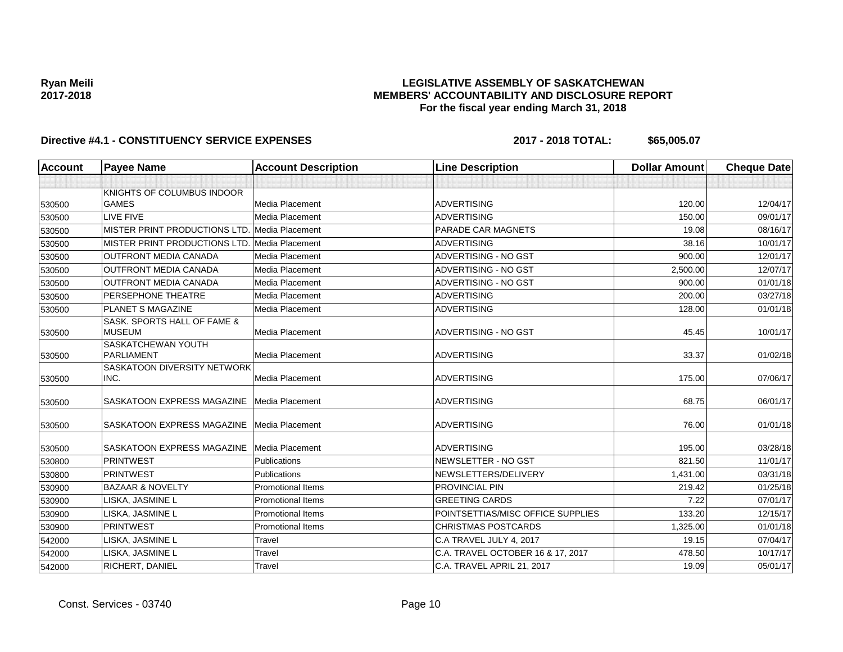## **LEGISLATIVE ASSEMBLY OF SASKATCHEWAN MEMBERS' ACCOUNTABILITY AND DISCLOSURE REPORT For the fiscal year ending March 31, 2018**

| <b>Account</b> | <b>Payee Name</b>                             | <b>Account Description</b> | <b>Line Description</b>           | <b>Dollar Amount</b> | <b>Cheque Date</b> |
|----------------|-----------------------------------------------|----------------------------|-----------------------------------|----------------------|--------------------|
|                |                                               |                            |                                   |                      |                    |
|                | KNIGHTS OF COLUMBUS INDOOR                    |                            |                                   |                      |                    |
| 530500         | <b>GAMES</b>                                  | Media Placement            | <b>ADVERTISING</b>                | 120.00               | 12/04/17           |
| 530500         | LIVE FIVE                                     | <b>Media Placement</b>     | <b>ADVERTISING</b>                | 150.00               | 09/01/17           |
| 530500         | MISTER PRINT PRODUCTIONS LTD. Media Placement |                            | PARADE CAR MAGNETS                | 19.08                | 08/16/17           |
| 530500         | MISTER PRINT PRODUCTIONS LTD. Media Placement |                            | <b>ADVERTISING</b>                | 38.16                | 10/01/17           |
| 530500         | <b>OUTFRONT MEDIA CANADA</b>                  | <b>Media Placement</b>     | ADVERTISING - NO GST              | 900.00               | 12/01/17           |
| 530500         | OUTFRONT MEDIA CANADA                         | <b>Media Placement</b>     | ADVERTISING - NO GST              | 2,500.00             | 12/07/17           |
| 530500         | <b>OUTFRONT MEDIA CANADA</b>                  | Media Placement            | <b>ADVERTISING - NO GST</b>       | 900.00               | 01/01/18           |
| 530500         | PERSEPHONE THEATRE                            | <b>Media Placement</b>     | <b>ADVERTISING</b>                | 200.00               | 03/27/18           |
| 530500         | PLANET S MAGAZINE                             | Media Placement            | <b>ADVERTISING</b>                | 128.00               | 01/01/18           |
| 530500         | SASK, SPORTS HALL OF FAME &<br><b>MUSEUM</b>  | Media Placement            | ADVERTISING - NO GST              | 45.45                | 10/01/17           |
| 530500         | SASKATCHEWAN YOUTH<br>PARLIAMENT              | Media Placement            | <b>ADVERTISING</b>                | 33.37                | 01/02/18           |
| 530500         | SASKATOON DIVERSITY NETWORK<br>INC.           | Media Placement            | <b>ADVERTISING</b>                | 175.00               | 07/06/17           |
| 530500         | SASKATOON EXPRESS MAGAZINE                    | Media Placement            | <b>ADVERTISING</b>                | 68.75                | 06/01/17           |
| 530500         | SASKATOON EXPRESS MAGAZINE                    | <b>Media Placement</b>     | <b>ADVERTISING</b>                | 76.00                | 01/01/18           |
| 530500         | SASKATOON EXPRESS MAGAZINE                    | Media Placement            | <b>ADVERTISING</b>                | 195.00               | 03/28/18           |
| 530800         | <b>PRINTWEST</b>                              | Publications               | NEWSLETTER - NO GST               | 821.50               | 11/01/17           |
| 530800         | <b>PRINTWEST</b>                              | Publications               | NEWSLETTERS/DELIVERY              | 1,431.00             | 03/31/18           |
| 530900         | <b>BAZAAR &amp; NOVELTY</b>                   | <b>Promotional Items</b>   | <b>PROVINCIAL PIN</b>             | 219.42               | 01/25/18           |
| 530900         | LISKA, JASMINE L                              | <b>Promotional Items</b>   | <b>GREETING CARDS</b>             | 7.22                 | 07/01/17           |
| 530900         | LISKA, JASMINE L                              | Promotional Items          | POINTSETTIAS/MISC OFFICE SUPPLIES | 133.20               | 12/15/17           |
| 530900         | <b>PRINTWEST</b>                              | <b>Promotional Items</b>   | <b>CHRISTMAS POSTCARDS</b>        | 1,325.00             | 01/01/18           |
| 542000         | LISKA, JASMINE L                              | Travel                     | C.A TRAVEL JULY 4, 2017           | 19.15                | 07/04/17           |
| 542000         | LISKA, JASMINE L                              | Travel                     | C.A. TRAVEL OCTOBER 16 & 17, 2017 | 478.50               | 10/17/17           |
| 542000         | RICHERT, DANIEL                               | Travel                     | C.A. TRAVEL APRIL 21, 2017        | 19.09                | 05/01/17           |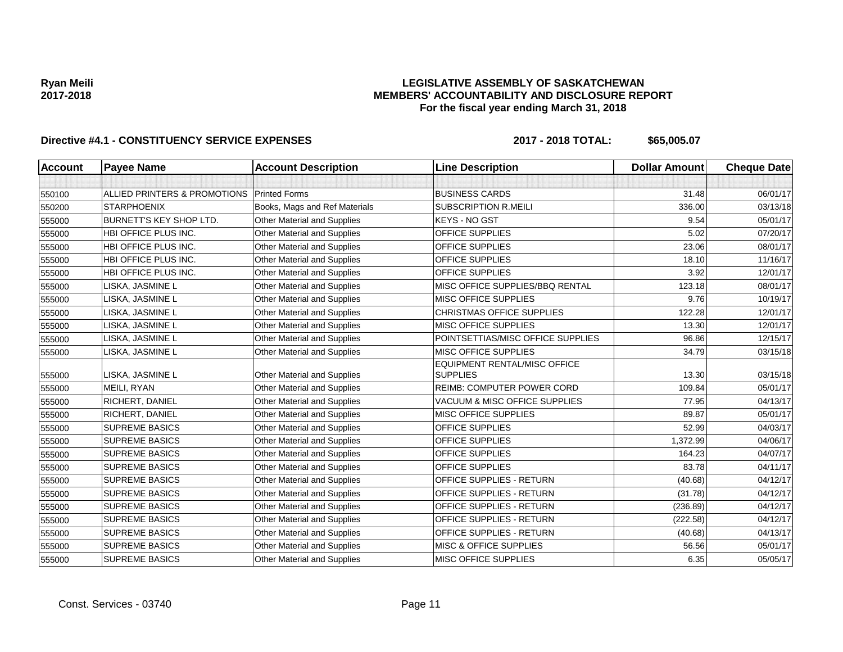## **LEGISLATIVE ASSEMBLY OF SASKATCHEWAN MEMBERS' ACCOUNTABILITY AND DISCLOSURE REPORT For the fiscal year ending March 31, 2018**

| Account | <b>Payee Name</b>              | <b>Account Description</b>         | <b>Line Description</b>                                | <b>Dollar Amount</b> | <b>Cheque Date</b> |
|---------|--------------------------------|------------------------------------|--------------------------------------------------------|----------------------|--------------------|
|         |                                |                                    |                                                        |                      |                    |
| 550100  | ALLIED PRINTERS & PROMOTIONS   | <b>Printed Forms</b>               | <b>BUSINESS CARDS</b>                                  | 31.48                | 06/01/17           |
| 550200  | <b>STARPHOENIX</b>             | Books, Mags and Ref Materials      | <b>SUBSCRIPTION R.MEILI</b>                            | 336.00               | 03/13/18           |
| 555000  | <b>BURNETT'S KEY SHOP LTD.</b> | Other Material and Supplies        | <b>KEYS - NO GST</b>                                   | 9.54                 | 05/01/17           |
| 555000  | HBI OFFICE PLUS INC.           | Other Material and Supplies        | <b>OFFICE SUPPLIES</b>                                 | 5.02                 | 07/20/17           |
| 555000  | HBI OFFICE PLUS INC.           | Other Material and Supplies        | <b>OFFICE SUPPLIES</b>                                 | 23.06                | 08/01/17           |
| 555000  | HBI OFFICE PLUS INC.           | Other Material and Supplies        | <b>OFFICE SUPPLIES</b>                                 | 18.10                | 11/16/17           |
| 555000  | HBI OFFICE PLUS INC.           | <b>Other Material and Supplies</b> | <b>OFFICE SUPPLIES</b>                                 | 3.92                 | 12/01/17           |
| 555000  | LISKA, JASMINE L               | Other Material and Supplies        | MISC OFFICE SUPPLIES/BBQ RENTAL                        | 123.18               | 08/01/17           |
| 555000  | LISKA, JASMINE L               | Other Material and Supplies        | MISC OFFICE SUPPLIES                                   | 9.76                 | 10/19/17           |
| 555000  | LISKA, JASMINE L               | Other Material and Supplies        | <b>CHRISTMAS OFFICE SUPPLIES</b>                       | 122.28               | 12/01/17           |
| 555000  | LISKA, JASMINE L               | Other Material and Supplies        | <b>MISC OFFICE SUPPLIES</b>                            | 13.30                | 12/01/17           |
| 555000  | LISKA, JASMINE L               | <b>Other Material and Supplies</b> | POINTSETTIAS/MISC OFFICE SUPPLIES                      | 96.86                | 12/15/17           |
| 555000  | LISKA, JASMINE L               | Other Material and Supplies        | MISC OFFICE SUPPLIES                                   | 34.79                | 03/15/18           |
| 555000  | LISKA, JASMINE L               | Other Material and Supplies        | <b>EQUIPMENT RENTAL/MISC OFFICE</b><br><b>SUPPLIES</b> | 13.30                | 03/15/18           |
| 555000  | MEILI, RYAN                    | Other Material and Supplies        | <b>REIMB: COMPUTER POWER CORD</b>                      | 109.84               | 05/01/17           |
| 555000  | RICHERT, DANIEL                | Other Material and Supplies        | VACUUM & MISC OFFICE SUPPLIES                          | 77.95                | 04/13/17           |
| 555000  | RICHERT, DANIEL                | Other Material and Supplies        | MISC OFFICE SUPPLIES                                   | 89.87                | 05/01/17           |
| 555000  | <b>SUPREME BASICS</b>          | Other Material and Supplies        | <b>OFFICE SUPPLIES</b>                                 | 52.99                | 04/03/17           |
| 555000  | <b>SUPREME BASICS</b>          | Other Material and Supplies        | <b>OFFICE SUPPLIES</b>                                 | 1,372.99             | 04/06/17           |
| 555000  | <b>SUPREME BASICS</b>          | Other Material and Supplies        | <b>OFFICE SUPPLIES</b>                                 | 164.23               | 04/07/17           |
| 555000  | <b>SUPREME BASICS</b>          | Other Material and Supplies        | <b>OFFICE SUPPLIES</b>                                 | 83.78                | 04/11/17           |
| 555000  | <b>SUPREME BASICS</b>          | Other Material and Supplies        | <b>OFFICE SUPPLIES - RETURN</b>                        | (40.68)              | 04/12/17           |
| 555000  | <b>SUPREME BASICS</b>          | Other Material and Supplies        | OFFICE SUPPLIES - RETURN                               | (31.78)              | 04/12/17           |
| 555000  | <b>SUPREME BASICS</b>          | Other Material and Supplies        | <b>OFFICE SUPPLIES - RETURN</b>                        | (236.89)             | 04/12/17           |
| 555000  | <b>SUPREME BASICS</b>          | Other Material and Supplies        | <b>OFFICE SUPPLIES - RETURN</b>                        | (222.58)             | 04/12/17           |
| 555000  | <b>SUPREME BASICS</b>          | <b>Other Material and Supplies</b> | OFFICE SUPPLIES - RETURN                               | (40.68)              | 04/13/17           |
| 555000  | <b>SUPREME BASICS</b>          | Other Material and Supplies        | <b>MISC &amp; OFFICE SUPPLIES</b>                      | 56.56                | 05/01/17           |
| 555000  | <b>SUPREME BASICS</b>          | Other Material and Supplies        | MISC OFFICE SUPPLIES                                   | 6.35                 | 05/05/17           |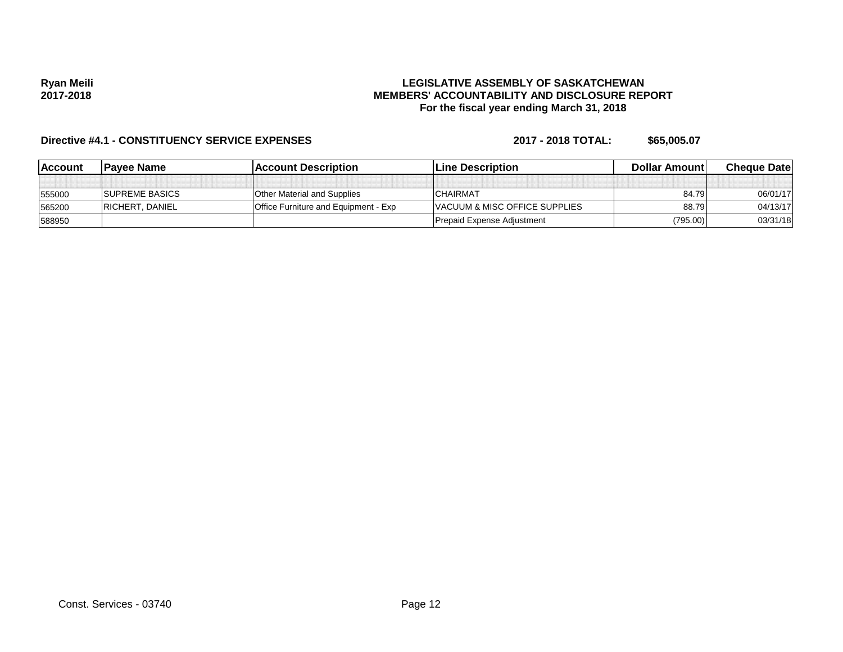### **LEGISLATIVE ASSEMBLY OF SASKATCHEWAN MEMBERS' ACCOUNTABILITY AND DISCLOSURE REPORT For the fiscal year ending March 31, 2018**

| <b>IAccount</b> | <b>IPavee Name</b>     | <b>IAccount Description</b>                 | <b>Line Description</b>       | Dollar Amount | <b>Cheque Datel</b> |
|-----------------|------------------------|---------------------------------------------|-------------------------------|---------------|---------------------|
|                 |                        |                                             |                               |               |                     |
| 555000          | <b>ISUPREME BASICS</b> | <b>Other Material and Supplies</b>          | ICHAIRMAT                     | 84.79         | 06/01/17            |
| 565200          | <b>RICHERT, DANIEL</b> | <b>Office Furniture and Equipment - Exp</b> | VACUUM & MISC OFFICE SUPPLIES | 88.79         | 04/13/17            |
| 588950          |                        |                                             | Prepaid Expense Adjustment    | (795.00)      | 03/31/18            |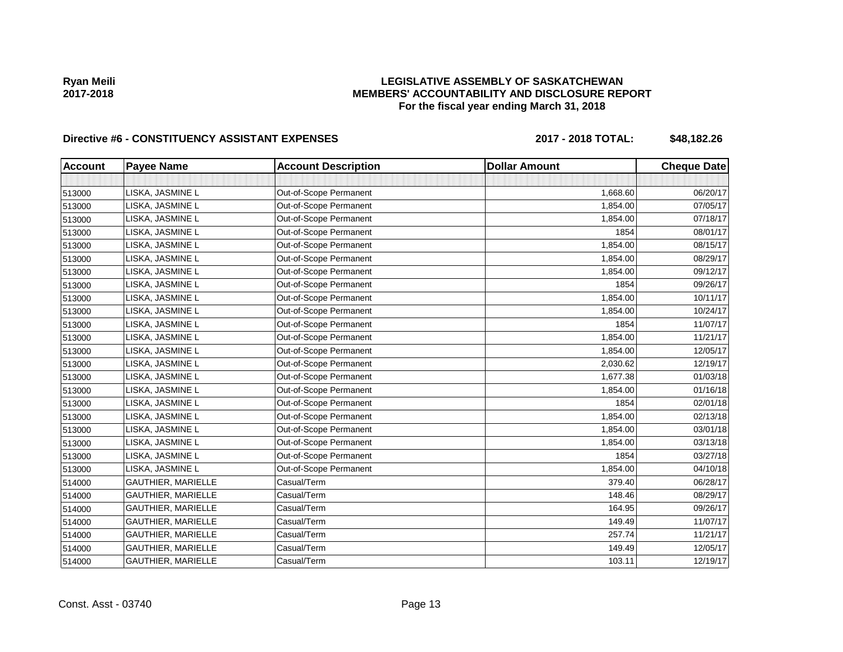## **LEGISLATIVE ASSEMBLY OF SASKATCHEWAN MEMBERS' ACCOUNTABILITY AND DISCLOSURE REPORT For the fiscal year ending March 31, 2018**

# Directive #6 - CONSTITUENCY ASSISTANT EXPENSES 2017 - 2018 TOTAL: \$48,182.26

| <b>Account</b> | <b>Payee Name</b>         | <b>Account Description</b> | <b>Dollar Amount</b> | <b>Cheque Date</b> |
|----------------|---------------------------|----------------------------|----------------------|--------------------|
|                |                           |                            |                      |                    |
| 513000         | LISKA, JASMINE L          | Out-of-Scope Permanent     | 1,668.60             | 06/20/17           |
| 513000         | LISKA, JASMINE L          | Out-of-Scope Permanent     | 1,854.00             | 07/05/17           |
| 513000         | LISKA, JASMINE L          | Out-of-Scope Permanent     | 1,854.00             | 07/18/17           |
| 513000         | LISKA, JASMINE L          | Out-of-Scope Permanent     | 1854                 | 08/01/17           |
| 513000         | LISKA, JASMINE L          | Out-of-Scope Permanent     | 1,854.00             | 08/15/17           |
| 513000         | LISKA, JASMINE L          | Out-of-Scope Permanent     | 1,854.00             | 08/29/17           |
| 513000         | LISKA, JASMINE L          | Out-of-Scope Permanent     | 1,854.00             | 09/12/17           |
| 513000         | LISKA, JASMINE L          | Out-of-Scope Permanent     | 1854                 | 09/26/17           |
| 513000         | LISKA, JASMINE L          | Out-of-Scope Permanent     | 1,854.00             | 10/11/17           |
| 513000         | LISKA, JASMINE L          | Out-of-Scope Permanent     | 1,854.00             | 10/24/17           |
| 513000         | LISKA, JASMINE L          | Out-of-Scope Permanent     | 1854                 | 11/07/17           |
| 513000         | LISKA, JASMINE L          | Out-of-Scope Permanent     | 1,854.00             | 11/21/17           |
| 513000         | LISKA, JASMINE L          | Out-of-Scope Permanent     | 1,854.00             | 12/05/17           |
| 513000         | LISKA, JASMINE L          | Out-of-Scope Permanent     | 2,030.62             | 12/19/17           |
| 513000         | LISKA, JASMINE L          | Out-of-Scope Permanent     | 1.677.38             | 01/03/18           |
| 513000         | LISKA, JASMINE L          | Out-of-Scope Permanent     | 1,854.00             | 01/16/18           |
| 513000         | LISKA, JASMINE L          | Out-of-Scope Permanent     | 1854                 | 02/01/18           |
| 513000         | LISKA, JASMINE L          | Out-of-Scope Permanent     | 1,854.00             | 02/13/18           |
| 513000         | LISKA, JASMINE L          | Out-of-Scope Permanent     | 1,854.00             | 03/01/18           |
| 513000         | LISKA, JASMINE L          | Out-of-Scope Permanent     | 1,854.00             | 03/13/18           |
| 513000         | LISKA, JASMINE L          | Out-of-Scope Permanent     | 1854                 | 03/27/18           |
| 513000         | LISKA, JASMINE L          | Out-of-Scope Permanent     | 1,854.00             | 04/10/18           |
| 514000         | <b>GAUTHIER, MARIELLE</b> | Casual/Term                | 379.40               | 06/28/17           |
| 514000         | GAUTHIER, MARIELLE        | Casual/Term                | 148.46               | 08/29/17           |
| 514000         | <b>GAUTHIER, MARIELLE</b> | Casual/Term                | 164.95               | 09/26/17           |
| 514000         | <b>GAUTHIER, MARIELLE</b> | Casual/Term                | 149.49               | 11/07/17           |
| 514000         | GAUTHIER, MARIELLE        | Casual/Term                | 257.74               | 11/21/17           |
| 514000         | GAUTHIER, MARIELLE        | Casual/Term                | 149.49               | 12/05/17           |
| 514000         | GAUTHIER, MARIELLE        | Casual/Term                | 103.11               | 12/19/17           |